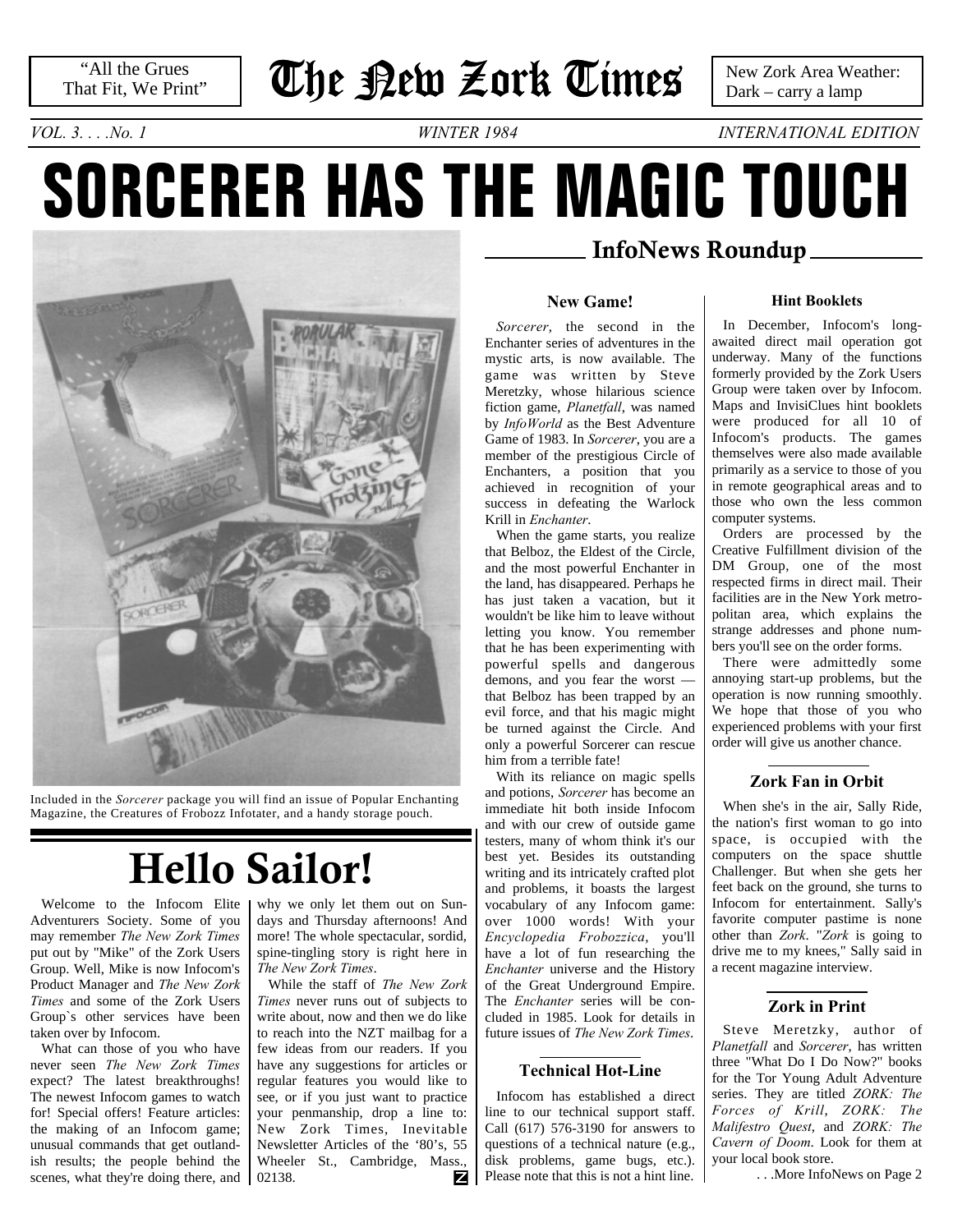# **The New Zork Times**

 New Zork Area Weather: Dark – carry a lamp

*VOL. 3. . . .No. 1 WINTER 1984 INTERNATIONAL EDITION*

# **SORCERER HAS THE MAGIC TOUCH**



Included in the *Sorcerer* package you will find an issue of Popular Enchanting Magazine, the Creatures of Frobozz Infotater, and a handy storage pouch.

# **Hello Sailor!**

Welcome to the Infocom Elite Adventurers Society. Some of you may remember *The New Zork Times* put out by "Mike" of the Zork Users Group. Well, Mike is now Infocom's Product Manager and *The New Zork Times* and some of the Zork Users Group`s other services have been taken over by Infocom.

What can those of you who have never seen *The New Zork Times* expect? The latest breakthroughs! The newest Infocom games to watch for! Special offers! Feature articles: the making of an Infocom game; unusual commands that get outlandish results; the people behind the scenes, what they're doing there, and why we only let them out on Sundays and Thursday afternoons! And more! The whole spectacular, sordid, spine-tingling story is right here in *The New Zork Times*.

While the staff of *The New Zork Times* never runs out of subjects to write about, now and then we do like to reach into the NZT mailbag for a few ideas from our readers. If you have any suggestions for articles or regular features you would like to see, or if you just want to practice your penmanship, drop a line to: New Zork Times, Inevitable Newsletter Articles of the '80's, 55 Wheeler St., Cambridge, Mass., 02138. z

## **InfoNews Roundup**

### **New Game!**

*Sorcerer*, the second in the Enchanter series of adventures in the mystic arts, is now available. The game was written by Steve Meretzky, whose hilarious science fiction game, *Planetfall*, was named by *InfoWorld* as the Best Adventure Game of 1983. In *Sorcerer*, you are a member of the prestigious Circle of Enchanters, a position that you achieved in recognition of your success in defeating the Warlock Krill in *Enchanter*.

When the game starts, you realize that Belboz, the Eldest of the Circle, and the most powerful Enchanter in the land, has disappeared. Perhaps he has just taken a vacation, but it wouldn't be like him to leave without letting you know. You remember that he has been experimenting with powerful spells and dangerous demons, and you fear the worst that Belboz has been trapped by an evil force, and that his magic might be turned against the Circle. And only a powerful Sorcerer can rescue him from a terrible fate!

With its reliance on magic spells and potions, *Sorcerer* has become an immediate hit both inside Infocom and with our crew of outside game testers, many of whom think it's our best yet. Besides its outstanding writing and its intricately crafted plot and problems, it boasts the largest vocabulary of any Infocom game: over 1000 words! With your *Encyclopedia Frobozzica*, you'll have a lot of fun researching the *Enchanter* universe and the History of the Great Underground Empire. The *Enchanter* series will be concluded in 1985. Look for details in future issues of *The New Zork Times*.

## **Technical Hot-Line**

Infocom has established a direct line to our technical support staff. Call (617) 576-3190 for answers to questions of a technical nature (e.g., disk problems, game bugs, etc.). Please note that this is not a hint line.

#### **Hint Booklets**

In December, Infocom's longawaited direct mail operation got underway. Many of the functions formerly provided by the Zork Users Group were taken over by Infocom. Maps and InvisiClues hint booklets were produced for all 10 of Infocom's products. The games themselves were also made available primarily as a service to those of you in remote geographical areas and to those who own the less common computer systems.

Orders are processed by the Creative Fulfillment division of the DM Group, one of the most respected firms in direct mail. Their facilities are in the New York metropolitan area, which explains the strange addresses and phone numbers you'll see on the order forms.

There were admittedly some annoying start-up problems, but the operation is now running smoothly. We hope that those of you who experienced problems with your first order will give us another chance.

## **Zork Fan in Orbit**

When she's in the air, Sally Ride, the nation's first woman to go into space, is occupied with the computers on the space shuttle Challenger. But when she gets her feet back on the ground, she turns to Infocom for entertainment. Sally's favorite computer pastime is none other than *Zork*. "*Zork* is going to drive me to my knees," Sally said in a recent magazine interview.

## **Zork in Print**

Steve Meretzky, author of *Planetfall* and *Sorcerer*, has written three "What Do I Do Now?" books for the Tor Young Adult Adventure series. They are titled *ZORK: The Forces of Krill*, *ZORK: The Malifestro Quest*, and *ZORK: The Cavern of Doom*. Look for them at your local book store.

[. . .More InfoNews on Page 2](#page-1-0)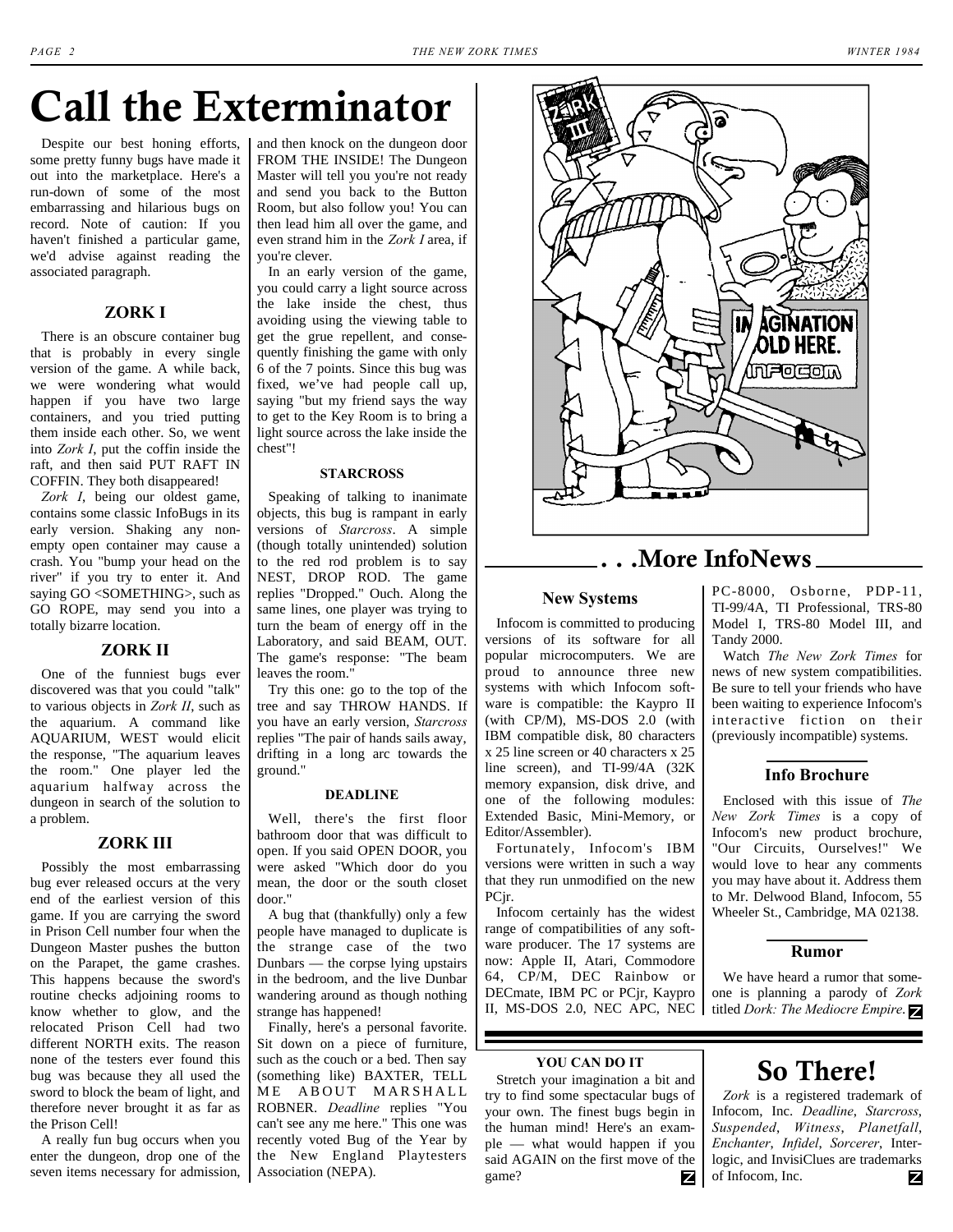# **Call the Exterminator**

Despite our best honing efforts, some pretty funny bugs have made it out into the marketplace. Here's a run-down of some of the most embarrassing and hilarious bugs on record. Note of caution: If you haven't finished a particular game, we'd advise against reading the associated paragraph.

## **ZORK I**

There is an obscure container bug that is probably in every single version of the game. A while back, we were wondering what would happen if you have two large containers, and you tried putting them inside each other. So, we went into *Zork I*, put the coffin inside the raft, and then said PUT RAFT IN COFFIN. They both disappeared!

*Zork I*, being our oldest game, contains some classic InfoBugs in its early version. Shaking any nonempty open container may cause a crash. You "bump your head on the river" if you try to enter it. And saying GO <SOMETHING>, such as GO ROPE, may send you into a totally bizarre location.

## **ZORK II**

One of the funniest bugs ever discovered was that you could "talk" to various objects in *Zork II*, such as the aquarium. A command like AQUARIUM, WEST would elicit the response, "The aquarium leaves the room." One player led the aquarium halfway across the dungeon in search of the solution to a problem.

#### **ZORK III**

Possibly the most embarrassing bug ever released occurs at the very end of the earliest version of this game. If you are carrying the sword in Prison Cell number four when the Dungeon Master pushes the button on the Parapet, the game crashes. This happens because the sword's routine checks adjoining rooms to know whether to glow, and the relocated Prison Cell had two different NORTH exits. The reason none of the testers ever found this bug was because they all used the sword to block the beam of light, and therefore never brought it as far as the Prison Cell!

A really fun bug occurs when you enter the dungeon, drop one of the seven items necessary for admission,

and then knock on the dungeon door FROM THE INSIDE! The Dungeon Master will tell you you're not ready and send you back to the Button Room, but also follow you! You can then lead him all over the game, and even strand him in the *Zork I* area, if you're clever.

In an early version of the game, you could carry a light source across the lake inside the chest, thus avoiding using the viewing table to get the grue repellent, and consequently finishing the game with only 6 of the 7 points. Since this bug was fixed, we've had people call up, saying "but my friend says the way to get to the Key Room is to bring a light source across the lake inside the chest"!

#### **STARCROSS**

Speaking of talking to inanimate objects, this bug is rampant in early versions of *Starcross*. A simple (though totally unintended) solution to the red rod problem is to say NEST, DROP ROD. The game replies "Dropped." Ouch. Along the same lines, one player was trying to turn the beam of energy off in the Laboratory, and said BEAM, OUT. The game's response: "The beam leaves the room."

Try this one: go to the top of the tree and say THROW HANDS. If you have an early version, *Starcross* replies "The pair of hands sails away, drifting in a long arc towards the ground."

#### **DEADLINE**

Well, there's the first floor bathroom door that was difficult to open. If you said OPEN DOOR, you were asked "Which door do you mean, the door or the south closet door."

A bug that (thankfully) only a few people have managed to duplicate is the strange case of the two Dunbars — the corpse lying upstairs in the bedroom, and the live Dunbar wandering around as though nothing strange has happened!

Finally, here's a personal favorite. Sit down on a piece of furniture, such as the couch or a bed. Then say (something like) BAXTER, TELL ME ABOUT MARSHALL ROBNER. *Deadline* replies "You can't see any me here." This one was recently voted Bug of the Year by the New England Playtesters Association (NEPA).



## **. . .More InfoNews**

#### **New Systems**

<span id="page-1-0"></span>Infocom is committed to producing versions of its software for all popular microcomputers. We are proud to announce three new systems with which Infocom software is compatible: the Kaypro II (with CP/M), MS-DOS 2.0 (with IBM compatible disk, 80 characters x 25 line screen or 40 characters x 25 line screen), and TI-99/4A (32K memory expansion, disk drive, and one of the following modules: Extended Basic, Mini-Memory, or Editor/Assembler).

Fortunately, Infocom's IBM versions were written in such a way that they run unmodified on the new PCjr.

Infocom certainly has the widest range of compatibilities of any software producer. The 17 systems are now: Apple II, Atari, Commodore 64, CP/M, DEC Rainbow or DECmate, IBM PC or PCjr, Kaypro II, MS-DOS 2.0, NEC APC, NEC

#### **YOU CAN DO IT**

Stretch your imagination a bit and try to find some spectacular bugs of your own. The finest bugs begin in the human mind! Here's an example — what would happen if you said AGAIN on the first move of the game? z PC-8000, Osborne, PDP-11, TI-99/4A, TI Professional, TRS-80 Model I, TRS-80 Model III, and Tandy 2000.

Watch *The New Zork Times* for news of new system compatibilities. Be sure to tell your friends who have been waiting to experience Infocom's interactive fiction on their (previously incompatible) systems.

## **Info Brochure**

Enclosed with this issue of *The New Zork Times* is a copy of Infocom's new product brochure, "Our Circuits, Ourselves!" We would love to hear any comments you may have about it. Address them to Mr. Delwood Bland, Infocom, 55 Wheeler St., Cambridge, MA 02138.

#### **Rumor**

We have heard a rumor that someone is planning a parody of *Zork* titled *Dork: The Mediocre Empire*.

## **So There!**

*Zork* is a registered trademark of Infocom, Inc. *Deadline*, *Starcross*, *Suspended*, *Witness*, *Planetfall*, *Enchanter*, *Infidel*, *Sorcerer*, Interlogic, and InvisiClues are trademarks of Infocom, Inc. z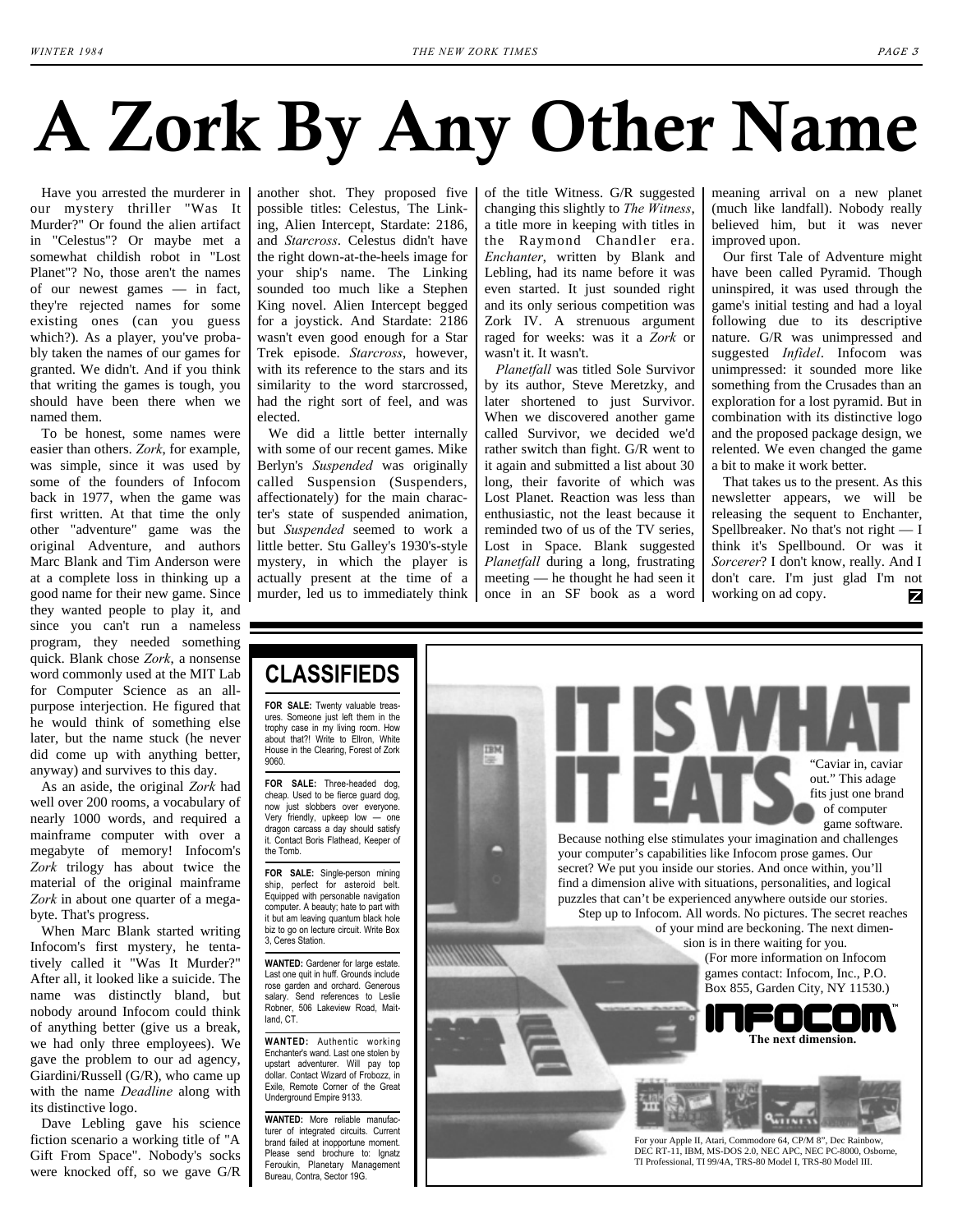# **A Zork By Any Other Name**

Have you arrested the murderer in our mystery thriller "Was It Murder?" Or found the alien artifact in "Celestus"? Or maybe met a somewhat childish robot in "Lost Planet"? No, those aren't the names of our newest games — in fact, they're rejected names for some existing ones (can you guess which?). As a player, you've probably taken the names of our games for granted. We didn't. And if you think that writing the games is tough, you should have been there when we named them.

To be honest, some names were easier than others. *Zork*, for example, was simple, since it was used by some of the founders of Infocom back in 1977, when the game was first written. At that time the only other "adventure" game was the original Adventure, and authors Marc Blank and Tim Anderson were at a complete loss in thinking up a good name for their new game. Since they wanted people to play it, and since you can't run a nameless program, they needed something quick. Blank chose *Zork*, a nonsense word commonly used at the MIT Lab for Computer Science as an allpurpose interjection. He figured that he would think of something else later, but the name stuck (he never did come up with anything better, anyway) and survives to this day.

As an aside, the original *Zork* had well over 200 rooms, a vocabulary of nearly 1000 words, and required a mainframe computer with over a megabyte of memory! Infocom's *Zork* trilogy has about twice the material of the original mainframe *Zork* in about one quarter of a megabyte. That's progress.

When Marc Blank started writing Infocom's first mystery, he tentatively called it "Was It Murder?" After all, it looked like a suicide. The name was distinctly bland, but nobody around Infocom could think of anything better (give us a break, we had only three employees). We gave the problem to our ad agency, Giardini/Russell (G/R), who came up with the name *Deadline* along with its distinctive logo.

Dave Lebling gave his science fiction scenario a working title of "A Gift From Space". Nobody's socks were knocked off, so we gave G/R another shot. They proposed five possible titles: Celestus, The Linking, Alien Intercept, Stardate: 2186, and *Starcross*. Celestus didn't have the right down-at-the-heels image for your ship's name. The Linking sounded too much like a Stephen King novel. Alien Intercept begged for a joystick. And Stardate: 2186 wasn't even good enough for a Star Trek episode. *Starcross*, however, with its reference to the stars and its similarity to the word starcrossed, had the right sort of feel, and was elected.

We did a little better internally with some of our recent games. Mike Berlyn's *Suspended* was originally called Suspension (Suspenders, affectionately) for the main character's state of suspended animation, but *Suspended* seemed to work a little better. Stu Galley's 1930's-style mystery, in which the player is actually present at the time of a murder, led us to immediately think

of the title Witness. G/R suggested changing this slightly to *The Witness*, a title more in keeping with titles in the Raymond Chandler era. *Enchanter*, written by Blank and Lebling, had its name before it was even started. It just sounded right and its only serious competition was Zork IV. A strenuous argument raged for weeks: was it a *Zork* or wasn't it. It wasn't.

*Planetfall* was titled Sole Survivor by its author, Steve Meretzky, and later shortened to just Survivor. When we discovered another game called Survivor, we decided we'd rather switch than fight. G/R went to it again and submitted a list about 30 long, their favorite of which was Lost Planet. Reaction was less than enthusiastic, not the least because it reminded two of us of the TV series, Lost in Space. Blank suggested *Planetfall* during a long, frustrating meeting — he thought he had seen it once in an SF book as a word meaning arrival on a new planet (much like landfall). Nobody really believed him, but it was never improved upon.

Our first Tale of Adventure might have been called Pyramid. Though uninspired, it was used through the game's initial testing and had a loyal following due to its descriptive nature. G/R was unimpressed and suggested *Infidel*. Infocom was unimpressed: it sounded more like something from the Crusades than an exploration for a lost pyramid. But in combination with its distinctive logo and the proposed package design, we relented. We even changed the game a bit to make it work better.

That takes us to the present. As this newsletter appears, we will be releasing the sequent to Enchanter, Spellbreaker. No that's not right — I think it's Spellbound. Or was it *Sorcerer*? I don't know, really. And I don't care. I'm just glad I'm not working on ad copy. z

## **CLASSIFIEDS**

**FOR SALE:** Twenty valuable treasures. Someone just left them in the trophy case in my living room. How about that?! Write to Ellron, White House in the Clearing, Forest of Zork 9060.

**FOR SALE:** Three-headed dog, cheap. Used to be fierce guard dog, now just slobbers over everyone. Very friendly, upkeep low — one dragon carcass a day should satisfy it. Contact Boris Flathead, Keeper of the Tomb.

**FOR SALE:** Single-person mining ship, perfect for asteroid belt. Equipped with personable navigation computer. A beauty; hate to part with it but am leaving quantum black hole biz to go on lecture circuit. Write Box 3, Ceres Station.

**WANTED:** Gardener for large estate. Last one quit in huff. Grounds include rose garden and orchard. Generous salary. Send references to Leslie Robner, 506 Lakeview Road, Maitland, CT.

**WANTED:** Authentic working Enchanter's wand. Last one stolen by upstart adventurer. Will pay top dollar. Contact Wizard of Frobozz, in Exile, Remote Corner of the Great Underground Empire 9133.

**WANTED:** More reliable manufacturer of integrated circuits. Current brand failed at inopportune moment. Please send brochure to: Ignatz Feroukin, Planetary Management Bureau, Contra, Sector 19G.